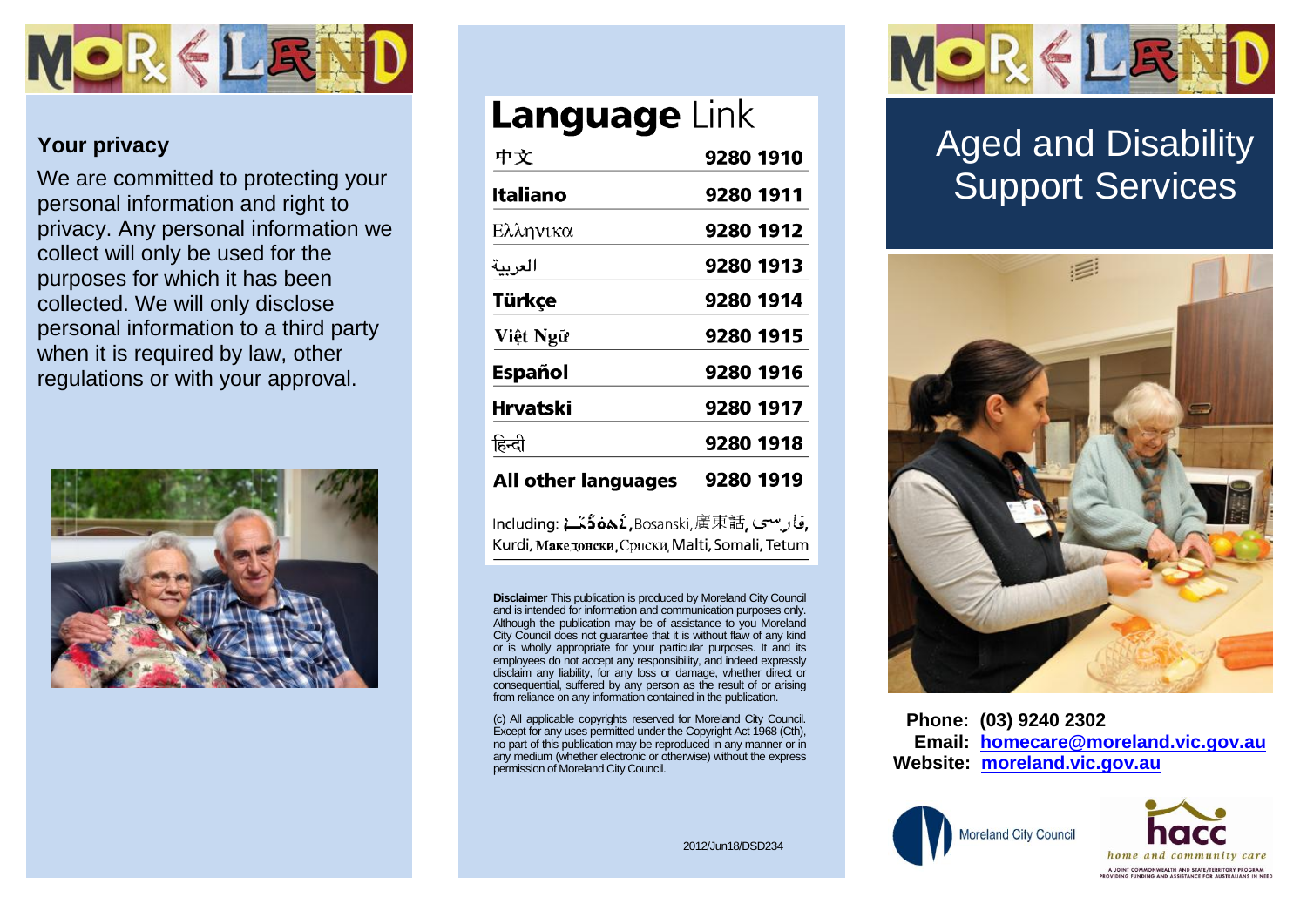

## **Your privacy**

We are committed to protecting your personal information and right to privacy. Any personal information we collect will only be used for the purposes for which it has been collected. We will only disclose personal information to a third party when it is required by law, other regulations or with your approval.



## **Language Link**

| 中文                         | 9280 1910 |
|----------------------------|-----------|
| <b>Italiano</b>            | 9280 1911 |
| Ελληνικα                   | 9280 1912 |
| العربية                    | 9280 1913 |
| Türkçe                     | 9280 1914 |
| Việt Ngữ                   | 9280 1915 |
| <b>Español</b>             | 9280 1916 |
| Hrvatski                   | 9280 1917 |
| हिन्दी                     | 9280 1918 |
| <b>All other languages</b> | 9280 1919 |

.فارسىي .Including: مَافَهُنَــْمْ Including: Kurdi, Македонски, Српски, Malti, Somali, Tetum

**Disclaimer** This publication is produced by Moreland City Council and is intended for information and communication purposes only. Although the publication may be of assistance to you Moreland City Council does not guarantee that it is without flaw of any kind or is wholly appropriate for your particular purposes. It and its employees do not accept any responsibility, and indeed expressly disclaim any liability, for any loss or damage, whether direct or consequential, suffered by any person as the result of or arising from reliance on any information contained in the publication.

(c) All applicable copyrights reserved for Moreland City Council. Except for any uses permitted under the Copyright Act 1968 (Cth), no part of this publication may be reproduced in any manner or in any medium (whether electronic or otherwise) without the express permission of Moreland City Council.

2012/Jun18/DSD234



# Aged and Disability Support Services



 **Phone: (03) 9240 2302 Email: [homecare@moreland.vic.gov.au](mailto:homecare@moreland.vic.gov.au) Website: [moreland.vic.gov.au](http://www.moreland.vic.gov.au/)**